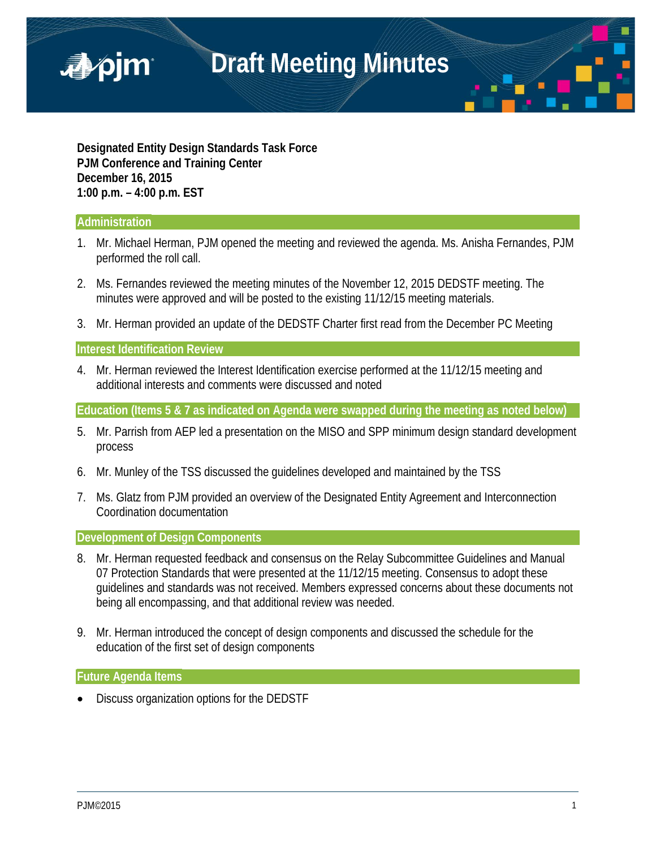

**Designated Entity Design Standards Task Force PJM Conference and Training Center December 16, 2015 1:00 p.m. – 4:00 p.m. EST**

### **Administration**

■pjm

- 1. Mr. Michael Herman, PJM opened the meeting and reviewed the agenda. Ms. Anisha Fernandes, PJM performed the roll call.
- 2. Ms. Fernandes reviewed the meeting minutes of the November 12, 2015 DEDSTF meeting. The minutes were approved and will be posted to the existing 11/12/15 meeting materials.
- 3. Mr. Herman provided an update of the DEDSTF Charter first read from the December PC Meeting

### **Interest Identification Review**

4. Mr. Herman reviewed the Interest Identification exercise performed at the 11/12/15 meeting and additional interests and comments were discussed and noted

**Education (Items 5 & 7 as indicated on Agenda were swapped during the meeting as noted below)**

- 5. Mr. Parrish from AEP led a presentation on the MISO and SPP minimum design standard development process
- 6. Mr. Munley of the TSS discussed the guidelines developed and maintained by the TSS
- 7. Ms. Glatz from PJM provided an overview of the Designated Entity Agreement and Interconnection Coordination documentation

### **Development of Design Components**

- 8. Mr. Herman requested feedback and consensus on the Relay Subcommittee Guidelines and Manual 07 Protection Standards that were presented at the 11/12/15 meeting. Consensus to adopt these guidelines and standards was not received. Members expressed concerns about these documents not being all encompassing, and that additional review was needed.
- 9. Mr. Herman introduced the concept of design components and discussed the schedule for the education of the first set of design components

#### **Future Agenda Items**

• Discuss organization options for the DEDSTF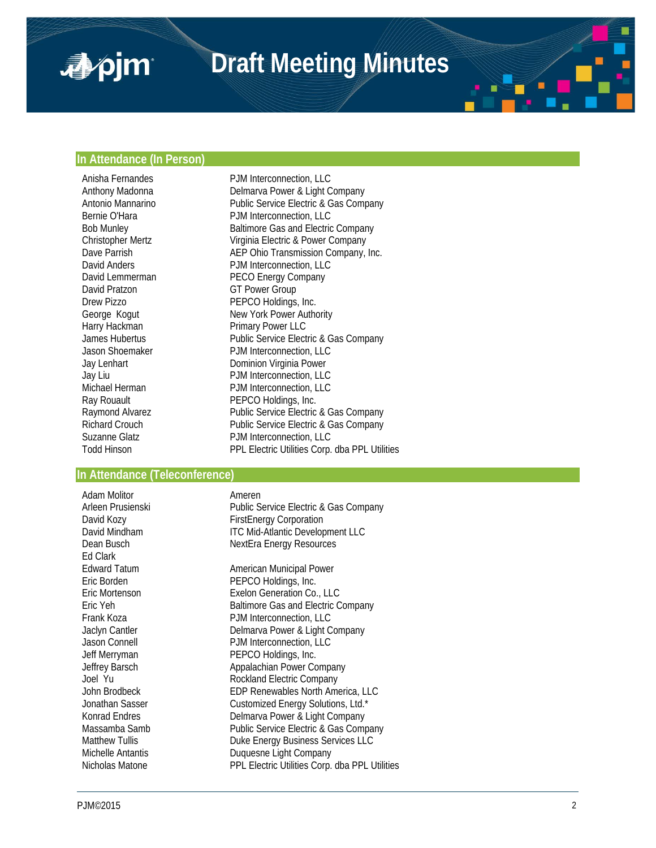# **Draft Meeting Minutes**

### **In Attendance (In Person)**

■pjm

Anisha Fernandes PJM Interconnection, LLC David Pratzon GT Power Group<br>
Drew Pizzo GT PEPCO Holdings Harry Hackman Primary Power LLC

Anthony Madonna **Delmarva Power & Light Company** Antonio Mannarino<br>
Public Service Electric & Gas Company<br>
PIM Interconnection 11 C PJM Interconnection, LLC Bob Munley Baltimore Gas and Electric Company Christopher Mertz Virginia Electric & Power Company Dave Parrish **AEP Ohio Transmission Company, Inc.**<br>
David Anders **ACC** PJM Interconnection. LLC PJM Interconnection, LLC David Lemmerman **PECO Energy Company**<br>
David Pratzon **PECO Energy Company** PEPCO Holdings, Inc. George Kogut New York Power Authority James Hubertus Public Service Electric & Gas Company Jason Shoemaker PJM Interconnection, LLC Jay Lenhart **Dominion Virginia Power** Jay Liu PJM Interconnection, LLC Michael Herman PJM Interconnection, LLC<br>
Ray Rouault 
PEPCO Holdings, Inc. Ray Rouault **PEPCO Holdings, Inc.**<br>
Raymond Alvarez **Public Service Electric** Raymond Alvarez **Raymond Alvarez Electric & Gas Company**<br>Richard Crouch **Raymond Bublic Service Electric & Gas Company** Richard Crouch **Public Service Electric & Gas Company**<br>
Suzanne Glatz **PJM** Interconnection, LLC PJM Interconnection, LLC Todd Hinson PPL Electric Utilities Corp. dba PPL Utilities

#### **In Attendance (Teleconference)**

Adam Molitor **Ameren**<br>Arleen Prusienski **American Province Arleen** Ed Clark

Public Service Electric & Gas Company David Kozy **FirstEnergy Corporation** David Mindham ITC Mid-Atlantic Development LLC<br>
Dean Busch International MexiFra Energy Resources **NextEra Energy Resources** 

Edward Tatum **American Municipal Power** Eric Borden PEPCO Holdings, Inc. Eric Mortenson Exelon Generation Co., LLC Eric Yeh Baltimore Gas and Electric Company Frank Koza **PJM** Interconnection, LLC Jaclyn Cantler **Delmarva Power & Light Company**<br>
Jason Connell **Delmarva POW** Interconnection, LLC Jason Connell PJM Interconnection, LLC<br>
Jeff Merryman PEPCO Holdings, Inc. PEPCO Holdings, Inc. Jeffrey Barsch Appalachian Power Company Joel Yu Rockland Electric Company EDP Renewables North America, LLC Jonathan Sasser Customized Energy Solutions, Ltd.\* Delmarva Power & Light Company Massamba Samb **Public Service Electric & Gas Company** Matthew Tullis **Duke Energy Business Services LLC** Michelle Antantis **Duquesne Light Company** Nicholas Matone PPL Electric Utilities Corp. dba PPL Utilities